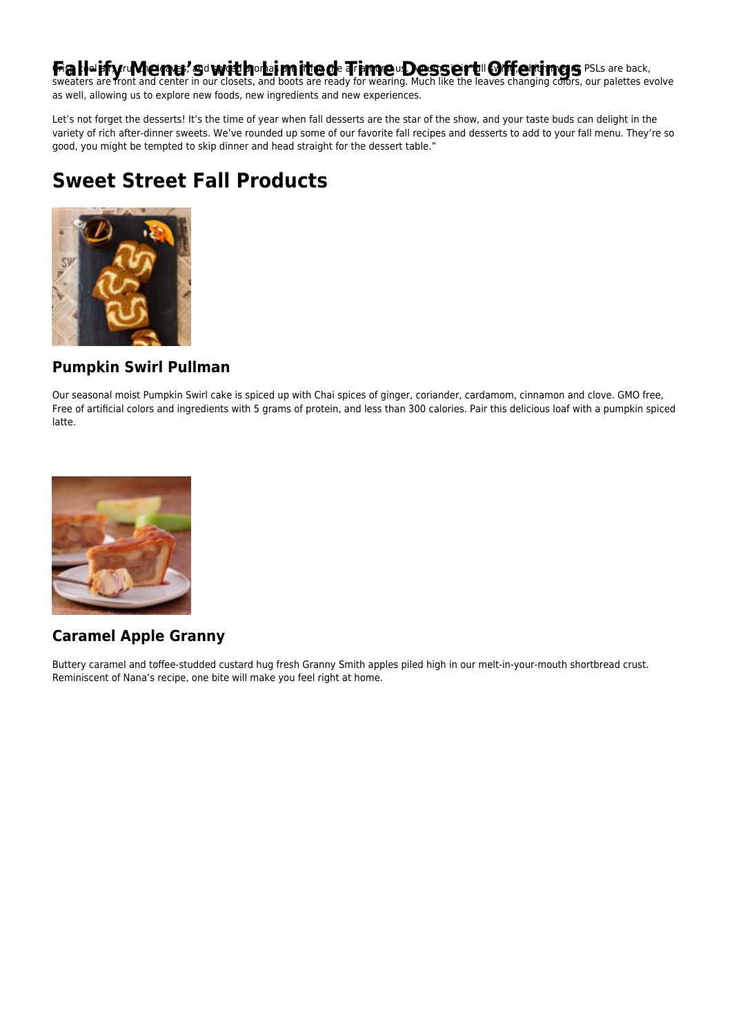# Fia NeiffyruMenu? Sd witthor ai mittede Timeu Dessert III Offerings PSLs are back,<br>sweaters are front and center in our closets, and boots are ready for wearing. Much like the leaves changing colors, our palettes evolve

as well, allowing us to explore new foods, new ingredients and new experiences.

Let's not forget the desserts! It's the time of year when fall desserts are the star of the show, and your taste buds can delight in the variety of rich after-dinner sweets. We've rounded up some of our favorite fall recipes and desserts to add to your fall menu. They're so good, you might be tempted to skip dinner and head straight for the dessert table."

# **Sweet Street Fall Products**



#### **Pumpkin Swirl Pullman**

Our seasonal moist Pumpkin Swirl cake is spiced up with Chai spices of ginger, coriander, cardamom, cinnamon and clove. GMO free, Free of artificial colors and ingredients with 5 grams of protein, and less than 300 calories. Pair this delicious loaf with a pumpkin spiced latte.



### **Caramel Apple Granny**

Buttery caramel and toffee-studded custard hug fresh Granny Smith apples piled high in our melt-in-your-mouth shortbread crust. Reminiscent of Nana's recipe, one bite will make you feel right at home.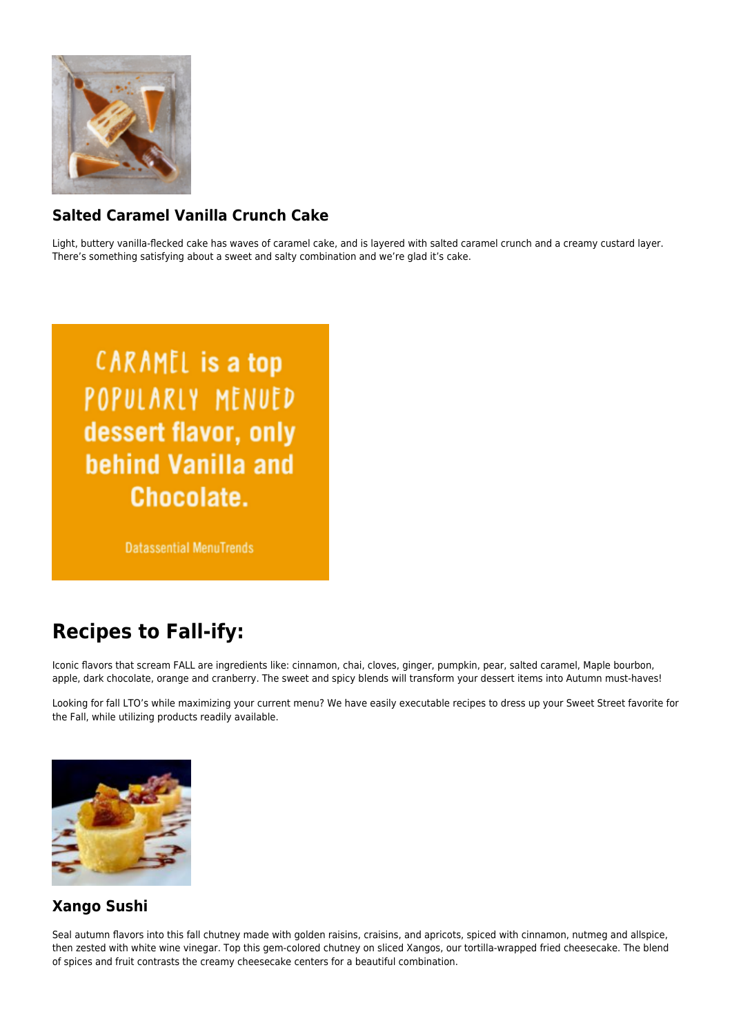

# **Salted Caramel Vanilla Crunch Cake**

Light, buttery vanilla-flecked cake has waves of caramel cake, and is layered with salted caramel crunch and a creamy custard layer. There's something satisfying about a sweet and salty combination and we're glad it's cake.

**CARAMEL** is a top POPULARLY MENUED dessert flavor, only behind Vanilla and Chocolate.

**Datassential MenuTrends** 

# **Recipes to Fall-ify:**

Iconic flavors that scream FALL are ingredients like: cinnamon, chai, cloves, ginger, pumpkin, pear, salted caramel, Maple bourbon, apple, dark chocolate, orange and cranberry. The sweet and spicy blends will transform your dessert items into Autumn must-haves!

Looking for fall LTO's while maximizing your current menu? We have easily executable recipes to dress up your Sweet Street favorite for the Fall, while utilizing products readily available.



#### **Xango Sushi**

Seal autumn flavors into this fall chutney made with golden raisins, craisins, and apricots, spiced with cinnamon, nutmeg and allspice, then zested with white wine vinegar. Top this gem-colored chutney on sliced Xangos, our tortilla-wrapped fried cheesecake. The blend of spices and fruit contrasts the creamy cheesecake centers for a beautiful combination.